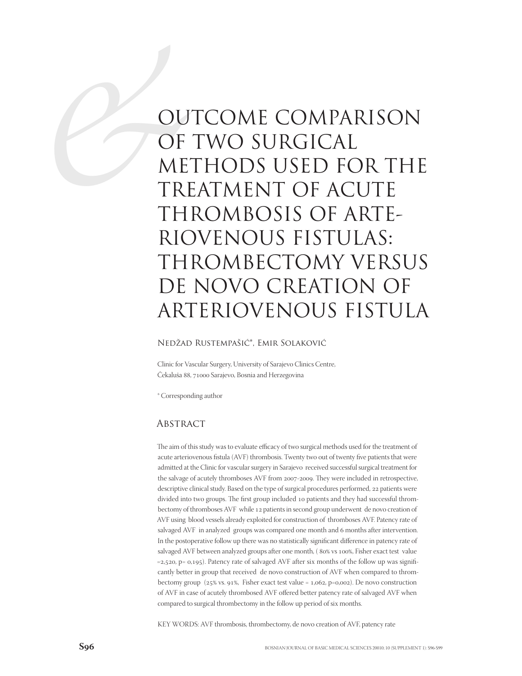# OU OF OF ME OUTCOME COMPARISON OF TWO SURGICAL METHODS USED FOR THE TREATMENT OF ACUTE THROMBOSIS OF ARTE-RIOVENOUS FISTULAS: THROMBECTOMY VERSUS DE NOVO CREATION OF ARTERIOVENOUS FISTULA

### Nedžad Rustempašić\*, Emir Solaković

Clinic for Vascular Surgery, University of Sarajevo Clinics Centre, Čekaluša 88, 71000 Sarajevo, Bosnia and Herzegovina

\* Corresponding author

#### **ABSTRACT**

The aim of this study was to evaluate efficacy of two surgical methods used for the treatment of acute arteriovenous fistula (AVF) thrombosis. Twenty two out of twenty five patients that were admitted at the Clinic for vascular surgery in Sarajevo received successful surgical treatment for the salvage of acutely thromboses AVF from 2007-2009. They were included in retrospective, descriptive clinical study. Based on the type of surgical procedures performed, 22 patients were divided into two groups. The first group included 10 patients and they had successful thrombectomy of thromboses AVF while 12 patients in second group underwent de novo creation of AVF using blood vessels already exploited for construction of thromboses AVF. Patency rate of salvaged AVF in analyzed groups was compared one month and 6 months after intervention. In the postoperative follow up there was no statistically significant difference in patency rate of salvaged AVF between analyzed groups after one month, (80% vs 100%, Fisher exact test value  $=$  2,520, p= 0,195). Patency rate of salvaged AVF after six months of the follow up was significantly better in group that received de novo construction of AVF when compared to thrombectomy group  $(25\% \text{ vs. } 91\%$ , Fisher exact test value = 1,062, p=0,002). De novo construction of AVF in case of acutely thrombosed AVF offered better patency rate of salvaged AVF when compared to surgical thrombectomy in the follow up period of six months.

KEY WORDS: AVF thrombosis, thrombectomy, de novo creation of AVF, patency rate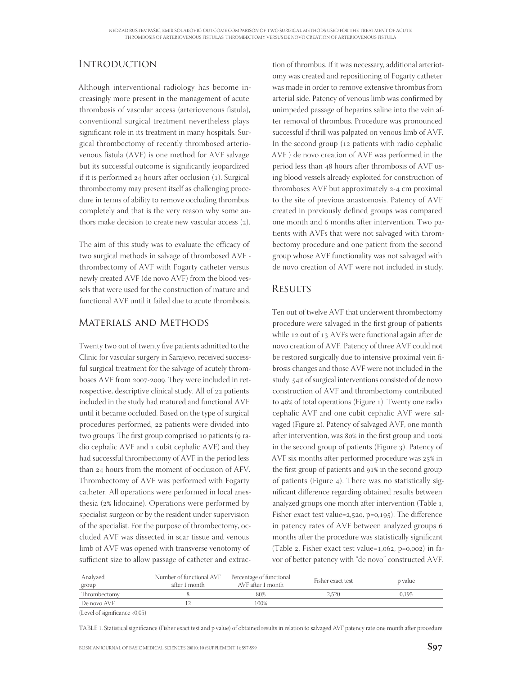## **INTRODUCTION**

Although interventional radiology has become increasingly more present in the management of acute thrombosis of vascular access (arteriovenous fistula), conventional surgical treatment nevertheless plays significant role in its treatment in many hospitals. Surgical thrombectomy of recently thrombosed arteriovenous fistula (AVF) is one method for AVF salvage but its successful outcome is significantly jeopardized if it is performed  $24$  hours after occlusion  $(1)$ . Surgical thrombectomy may present itself as challenging procedure in terms of ability to remove occluding thrombus completely and that is the very reason why some authors make decision to create new vascular access (2).

The aim of this study was to evaluate the efficacy of two surgical methods in salvage of thrombosed AVF thrombectomy of AVF with Fogarty catheter versus newly created AVF (de novo AVF) from the blood vessels that were used for the construction of mature and functional AVF until it failed due to acute thrombosis.

### Materials and Methods

Twenty two out of twenty five patients admitted to the Clinic for vascular surgery in Sarajevo, received successful surgical treatment for the salvage of acutely thromboses AVF from 2007-2009. They were included in retrospective, descriptive clinical study. All of 22 patients included in the study had matured and functional AVF until it became occluded. Based on the type of surgical procedures performed, 22 patients were divided into two groups. The first group comprised 10 patients (9 radio cephalic AVF and cubit cephalic AVF) and they had successful thrombectomy of AVF in the period less than 24 hours from the moment of occlusion of AFV. Thrombectomy of AVF was performed with Fogarty catheter. All operations were performed in local anesthesia (2% lidocaine). Operations were performed by specialist surgeon or by the resident under supervision of the specialist. For the purpose of thrombectomy, occluded AVF was dissected in scar tissue and venous limb of AVF was opened with transverse venotomy of sufficient size to allow passage of catheter and extrac-

tion of thrombus. If it was necessary, additional arteriotomy was created and repositioning of Fogarty catheter was made in order to remove extensive thrombus from arterial side. Patency of venous limb was confirmed by unimpeded passage of heparins saline into the vein after removal of thrombus. Procedure was pronounced successful if thrill was palpated on venous limb of AVF. In the second group  $(12$  patients with radio cephalic AVF ) de novo creation of AVF was performed in the period less than 48 hours after thrombosis of AVF using blood vessels already exploited for construction of thromboses AVF but approximately 2-4 cm proximal to the site of previous anastomosis. Patency of AVF created in previously defined groups was compared one month and 6 months after intervention. Two patients with AVFs that were not salvaged with thrombectomy procedure and one patient from the second group whose AVF functionality was not salvaged with de novo creation of AVF were not included in study.

## **RESULTS**

Ten out of twelve AVF that underwent thrombectomy procedure were salvaged in the first group of patients while 12 out of 13 AVFs were functional again after de novo creation of AVF. Patency of three AVF could not be restored surgically due to intensive proximal vein fibrosis changes and those AVF were not included in the study. 54% of surgical interventions consisted of de novo construction of AVF and thrombectomy contributed to  $46\%$  of total operations (Figure 1). Twenty one radio cephalic AVF and one cubit cephalic AVF were salvaged (Figure 2). Patency of salvaged AVF, one month after intervention, was 80% in the first group and 100% in the second group of patients (Figure 3). Patency of AVF six months after performed procedure was 25% in the first group of patients and 91% in the second group of patients (Figure 4). There was no statistically significant difference regarding obtained results between analyzed groups one month after intervention (Table 1, Fisher exact test value=2,520, p=0,195). The difference in patency rates of AVF between analyzed groups months after the procedure was statistically significant (Table 2, Fisher exact test value= $1,062$ , p= $0,002$ ) in favor of better patency with "de novo" constructed AVF.

| Analyzed<br>group | Number of functional AVF Percentage of functional<br>after 1 month | AVF after 1 month | Fisher exact test | p value |
|-------------------|--------------------------------------------------------------------|-------------------|-------------------|---------|
| Thrombectomy      |                                                                    | 80%               | 2.520             | 0.195   |
| De novo AVF       |                                                                    | 100%              |                   |         |

(Level of significance  $< 0.05$ )

TABLE 1. Statistical significance (Fisher exact test and p value) of obtained results in relation to salvaged AVF patency rate one month after procedure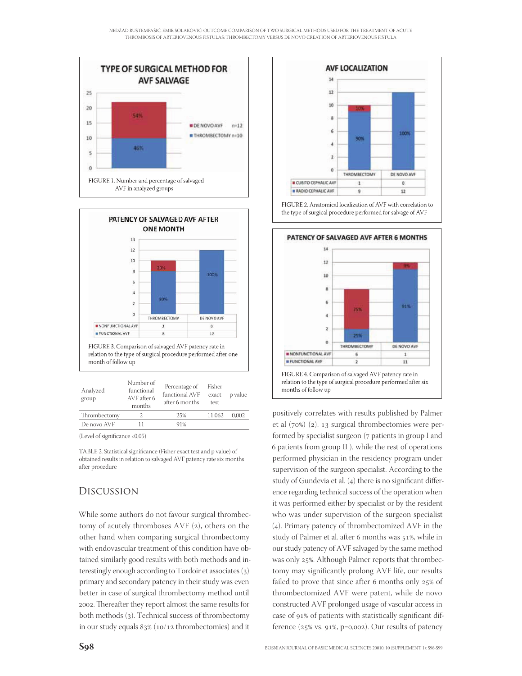



| Analyzed<br>group | TAMITING AT<br>functional<br>AVF after 6<br>months | Percentage of<br>functional AVF<br>after 6 months | Fisher<br>exact<br>test | p value |
|-------------------|----------------------------------------------------|---------------------------------------------------|-------------------------|---------|
| Thrombectomy      |                                                    | 25%                                               | 11.062                  | 0.002   |
| De novo AVF       |                                                    | 91%                                               |                         |         |
|                   |                                                    |                                                   |                         |         |

(Level of significance  $<$  0,05)

TABLE 2. Statistical significance (Fisher exact test and p value) of obtained results in relation to salvaged AVF patency rate six months after procedure

## Discussion

While some authors do not favour surgical thrombectomy of acutely thromboses  $AVF(2)$ , others on the other hand when comparing surgical thrombectomy with endovascular treatment of this condition have obtained similarly good results with both methods and interestingly enough according to Tordoir et associates (3) primary and secondary patency in their study was even better in case of surgical thrombectomy method until 2002. Thereafter they report almost the same results for both methods (3). Technical success of thrombectomy in our study equals  $83\%$  (10/12 thrombectomies) and it



FIGURE 2. Anatomical localization of AVF with correlation to the type of surgical procedure performed for salvage of AVF



positively correlates with results published by Palmer et al  $(70%)$  (2). 13 surgical thrombectomies were performed by specialist surgeon (7 patients in group I and patients from group II ), while the rest of operations performed physician in the residency program under supervision of the surgeon specialist. According to the study of Gundevia et al.  $(4)$  there is no significant difference regarding technical success of the operation when it was performed either by specialist or by the resident who was under supervision of the surgeon specialist (4). Primary patency of thrombectomized AVF in the study of Palmer et al. after 6 months was 51%, while in our study patency of AVF salvaged by the same method was only 25%. Although Palmer reports that thrombectomy may significantly prolong AVF life, our results failed to prove that since after  $6$  months only  $25\%$  of thrombectomized AVF were patent, while de novo constructed AVF prolonged usage of vascular access in case of 91% of patients with statistically significant difference  $(25\% \text{ vs. } 91\%, \text{ p=0,002}).$  Our results of patency